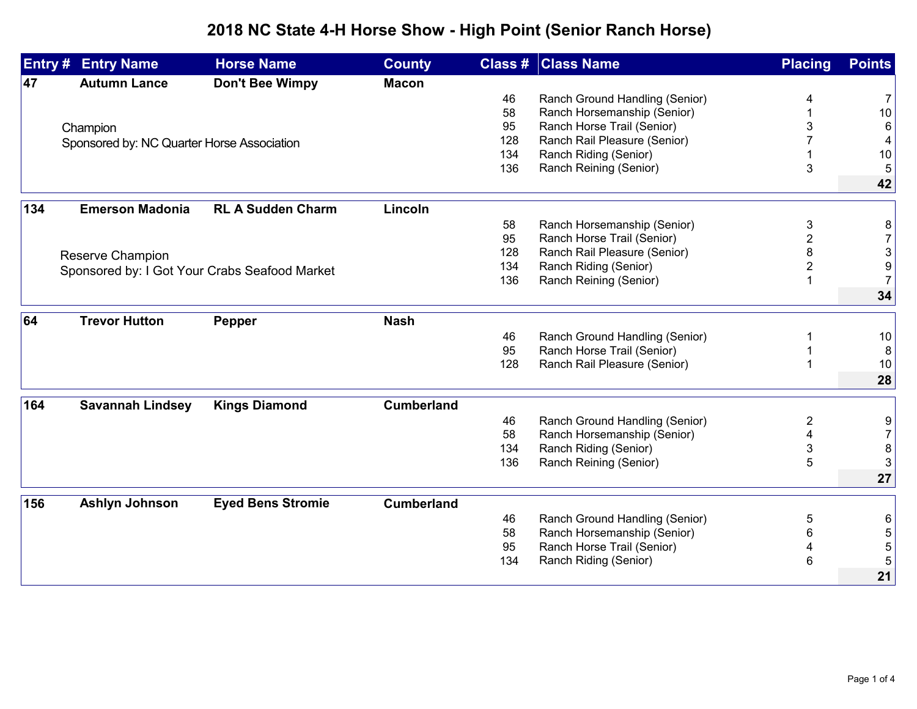## **2018 NC State 4-H Horse Show - High Point (Senior Ranch Horse)**

| Entry # | <b>Entry Name</b>                             | <b>Horse Name</b>        | <b>County</b>     |          | <b>Class # Class Name</b>                                     | <b>Placing</b> | <b>Points</b>             |
|---------|-----------------------------------------------|--------------------------|-------------------|----------|---------------------------------------------------------------|----------------|---------------------------|
| 47      | <b>Autumn Lance</b>                           | <b>Don't Bee Wimpy</b>   | <b>Macon</b>      |          |                                                               |                |                           |
|         |                                               |                          |                   | 46       | Ranch Ground Handling (Senior)                                |                | 7                         |
|         |                                               |                          |                   | 58       | Ranch Horsemanship (Senior)                                   |                | $10$                      |
|         | Champion                                      |                          |                   | 95       | Ranch Horse Trail (Senior)                                    |                | 6                         |
|         | Sponsored by: NC Quarter Horse Association    |                          |                   | 128      | Ranch Rail Pleasure (Senior)                                  |                | 4                         |
|         |                                               |                          |                   | 134      | Ranch Riding (Senior)                                         |                | 10                        |
|         |                                               |                          |                   | 136      | Ranch Reining (Senior)                                        | 3              | 5                         |
|         |                                               |                          |                   |          |                                                               |                | 42                        |
| 134     | <b>Emerson Madonia</b>                        | <b>RL A Sudden Charm</b> | Lincoln           |          |                                                               |                |                           |
|         |                                               |                          |                   | 58       | Ranch Horsemanship (Senior)                                   | 3              | 8                         |
|         |                                               |                          |                   | 95       | Ranch Horse Trail (Senior)                                    | 2              | $\overline{7}$            |
|         | Reserve Champion                              |                          |                   | 128      | Ranch Rail Pleasure (Senior)                                  | 8              | $\ensuremath{\mathsf{3}}$ |
|         |                                               |                          |                   | 134      | Ranch Riding (Senior)                                         | $\overline{2}$ | $\overline{9}$            |
|         | Sponsored by: I Got Your Crabs Seafood Market |                          |                   | 136      | Ranch Reining (Senior)                                        |                | 7                         |
|         |                                               |                          |                   |          |                                                               |                | 34                        |
| 64      | <b>Trevor Hutton</b>                          | Pepper                   | <b>Nash</b>       |          |                                                               |                |                           |
|         |                                               |                          |                   | 46       | Ranch Ground Handling (Senior)                                |                | 10                        |
|         |                                               |                          |                   | 95       | Ranch Horse Trail (Senior)                                    |                | 8                         |
|         |                                               |                          |                   | 128      | Ranch Rail Pleasure (Senior)                                  |                | 10                        |
|         |                                               |                          |                   |          |                                                               |                | 28                        |
| 164     | <b>Savannah Lindsey</b>                       | <b>Kings Diamond</b>     | <b>Cumberland</b> |          |                                                               |                |                           |
|         |                                               |                          |                   |          |                                                               |                |                           |
|         |                                               |                          |                   | 46<br>58 | Ranch Ground Handling (Senior)<br>Ranch Horsemanship (Senior) | $\overline{2}$ | 9<br>$\overline{7}$       |
|         |                                               |                          |                   | 134      | Ranch Riding (Senior)                                         | 3              | 8                         |
|         |                                               |                          |                   | 136      | Ranch Reining (Senior)                                        | 5              | 3                         |
|         |                                               |                          |                   |          |                                                               |                | 27                        |
|         |                                               |                          |                   |          |                                                               |                |                           |
| 156     | Ashlyn Johnson                                | <b>Eyed Bens Stromie</b> | <b>Cumberland</b> |          |                                                               |                |                           |
|         |                                               |                          |                   | 46       | Ranch Ground Handling (Senior)                                | 5              | 6                         |
|         |                                               |                          |                   | 58       | Ranch Horsemanship (Senior)                                   | 6              | 5                         |
|         |                                               |                          |                   | 95       | Ranch Horse Trail (Senior)                                    |                | 5                         |
|         |                                               |                          |                   | 134      | Ranch Riding (Senior)                                         | 6              | 5                         |
|         |                                               |                          |                   |          |                                                               |                | 21                        |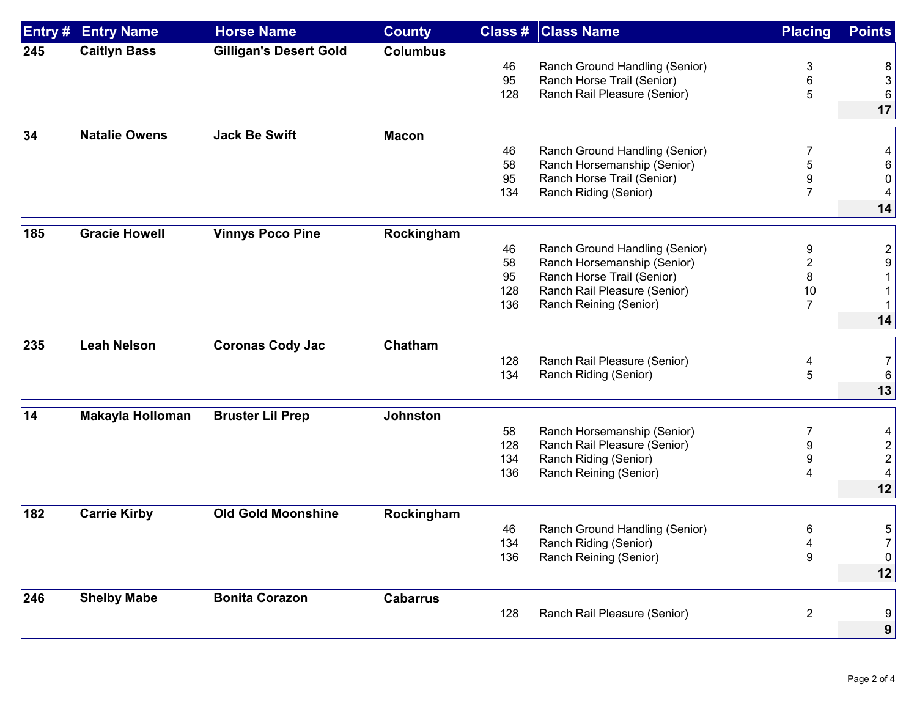| Entry # | <b>Entry Name</b>       | <b>Horse Name</b>             | <b>County</b>   |     | <b>Class # Class Name</b>      | <b>Placing</b> | <b>Points</b>  |
|---------|-------------------------|-------------------------------|-----------------|-----|--------------------------------|----------------|----------------|
| 245     | <b>Caitlyn Bass</b>     | <b>Gilligan's Desert Gold</b> | <b>Columbus</b> |     |                                |                |                |
|         |                         |                               |                 | 46  | Ranch Ground Handling (Senior) | 3              | 8              |
|         |                         |                               |                 | 95  | Ranch Horse Trail (Senior)     | 6              | 3              |
|         |                         |                               |                 | 128 | Ranch Rail Pleasure (Senior)   | 5              | 6              |
|         |                         |                               |                 |     |                                |                | 17             |
| 34      | <b>Natalie Owens</b>    | <b>Jack Be Swift</b>          | <b>Macon</b>    |     |                                |                |                |
|         |                         |                               |                 | 46  | Ranch Ground Handling (Senior) | 7              | 4              |
|         |                         |                               |                 | 58  | Ranch Horsemanship (Senior)    | 5              |                |
|         |                         |                               |                 | 95  | Ranch Horse Trail (Senior)     | 9              | 0              |
|         |                         |                               |                 | 134 | Ranch Riding (Senior)          | 7              | 4              |
|         |                         |                               |                 |     |                                |                | 14             |
| 185     | <b>Gracie Howell</b>    | <b>Vinnys Poco Pine</b>       | Rockingham      |     |                                |                |                |
|         |                         |                               |                 | 46  | Ranch Ground Handling (Senior) | 9              | $\overline{2}$ |
|         |                         |                               |                 | 58  | Ranch Horsemanship (Senior)    | 2              | 9              |
|         |                         |                               |                 | 95  | Ranch Horse Trail (Senior)     | 8              |                |
|         |                         |                               |                 | 128 | Ranch Rail Pleasure (Senior)   | 10             |                |
|         |                         |                               |                 | 136 | Ranch Reining (Senior)         | $\overline{7}$ |                |
|         |                         |                               |                 |     |                                |                | 14             |
| 235     | <b>Leah Nelson</b>      | <b>Coronas Cody Jac</b>       | Chatham         |     |                                |                |                |
|         |                         |                               |                 | 128 | Ranch Rail Pleasure (Senior)   | 4              |                |
|         |                         |                               |                 | 134 | Ranch Riding (Senior)          | 5              | 6              |
|         |                         |                               |                 |     |                                |                | 13             |
| 14      | <b>Makayla Holloman</b> | <b>Bruster Lil Prep</b>       | <b>Johnston</b> |     |                                |                |                |
|         |                         |                               |                 | 58  | Ranch Horsemanship (Senior)    | 7              |                |
|         |                         |                               |                 | 128 | Ranch Rail Pleasure (Senior)   | 9              | $\overline{c}$ |
|         |                         |                               |                 | 134 | Ranch Riding (Senior)          | 9              | $\sqrt{2}$     |
|         |                         |                               |                 | 136 | Ranch Reining (Senior)         | 4              | 4              |
|         |                         |                               |                 |     |                                |                | 12             |
| 182     | <b>Carrie Kirby</b>     | <b>Old Gold Moonshine</b>     | Rockingham      |     |                                |                |                |
|         |                         |                               |                 | 46  | Ranch Ground Handling (Senior) | 6              | 5              |
|         |                         |                               |                 | 134 | Ranch Riding (Senior)          | 4              |                |
|         |                         |                               |                 | 136 | Ranch Reining (Senior)         | 9              | 0              |
|         |                         |                               |                 |     |                                |                | 12             |
|         |                         |                               |                 |     |                                |                |                |
| 246     | <b>Shelby Mabe</b>      | <b>Bonita Corazon</b>         | <b>Cabarrus</b> |     |                                |                |                |
|         |                         |                               |                 | 128 | Ranch Rail Pleasure (Senior)   | $\overline{2}$ | 9              |
|         |                         |                               |                 |     |                                |                | 9              |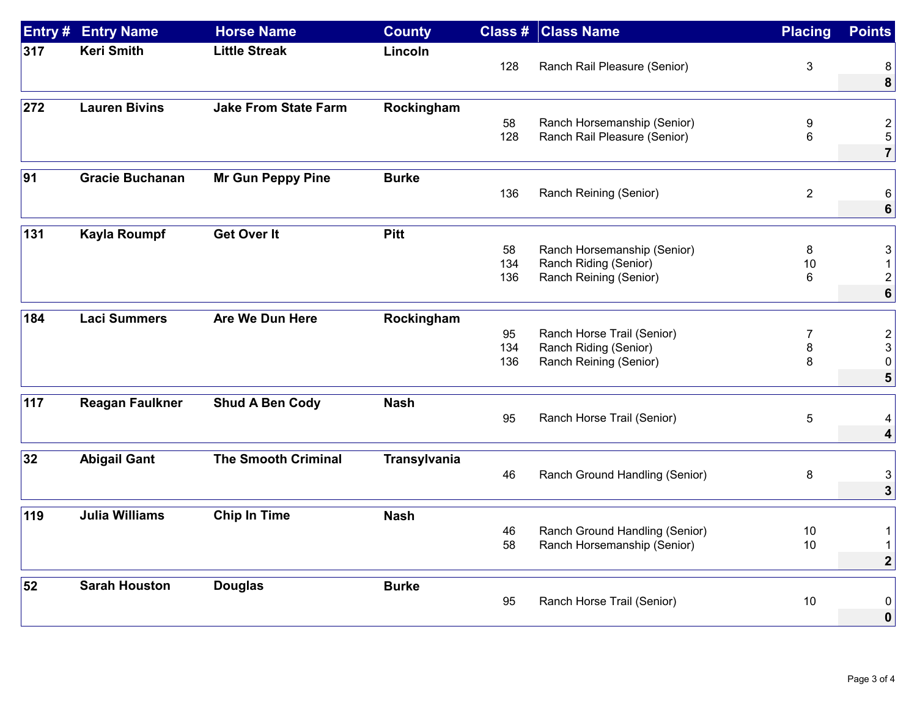| Entry # | <b>Entry Name</b>      | <b>Horse Name</b>           | <b>County</b>       | Class # | <b>Class Name</b>              | <b>Placing</b> | <b>Points</b>           |
|---------|------------------------|-----------------------------|---------------------|---------|--------------------------------|----------------|-------------------------|
| 317     | <b>Keri Smith</b>      | <b>Little Streak</b>        | Lincoln             |         |                                |                |                         |
|         |                        |                             |                     | 128     | Ranch Rail Pleasure (Senior)   | 3              | 8                       |
|         |                        |                             |                     |         |                                |                | 8                       |
| 272     | <b>Lauren Bivins</b>   | <b>Jake From State Farm</b> | Rockingham          |         |                                |                |                         |
|         |                        |                             |                     | 58      | Ranch Horsemanship (Senior)    | 9              | $\overline{\mathbf{c}}$ |
|         |                        |                             |                     | 128     | Ranch Rail Pleasure (Senior)   | 6              | 5                       |
|         |                        |                             |                     |         |                                |                | $\overline{7}$          |
| 91      | <b>Gracie Buchanan</b> | <b>Mr Gun Peppy Pine</b>    | <b>Burke</b>        |         |                                |                |                         |
|         |                        |                             |                     | 136     | Ranch Reining (Senior)         | $\overline{2}$ | 6                       |
|         |                        |                             |                     |         |                                |                | 6                       |
| 131     | <b>Kayla Roumpf</b>    | <b>Get Over It</b>          | <b>Pitt</b>         |         |                                |                |                         |
|         |                        |                             |                     | 58      | Ranch Horsemanship (Senior)    | 8              | 3                       |
|         |                        |                             |                     | 134     | Ranch Riding (Senior)          | 10             |                         |
|         |                        |                             |                     | 136     | Ranch Reining (Senior)         | 6              | $\overline{2}$          |
|         |                        |                             |                     |         |                                |                | 6                       |
| 184     | <b>Laci Summers</b>    | Are We Dun Here             | Rockingham          |         |                                |                |                         |
|         |                        |                             |                     | 95      | Ranch Horse Trail (Senior)     | 7              | $\overline{\mathbf{c}}$ |
|         |                        |                             |                     | 134     | Ranch Riding (Senior)          | 8              |                         |
|         |                        |                             |                     | 136     | Ranch Reining (Senior)         | 8              | 0                       |
|         |                        |                             |                     |         |                                |                | 5                       |
| 117     | <b>Reagan Faulkner</b> | <b>Shud A Ben Cody</b>      | <b>Nash</b>         |         |                                |                |                         |
|         |                        |                             |                     | 95      | Ranch Horse Trail (Senior)     | 5              |                         |
|         |                        |                             |                     |         |                                |                | 4                       |
| 32      | <b>Abigail Gant</b>    | <b>The Smooth Criminal</b>  | <b>Transylvania</b> |         |                                |                |                         |
|         |                        |                             |                     | 46      | Ranch Ground Handling (Senior) | 8              | 3                       |
|         |                        |                             |                     |         |                                |                | 3                       |
| 119     | <b>Julia Williams</b>  | <b>Chip In Time</b>         | <b>Nash</b>         |         |                                |                |                         |
|         |                        |                             |                     | 46      | Ranch Ground Handling (Senior) | 10             | 1                       |
|         |                        |                             |                     | 58      | Ranch Horsemanship (Senior)    | 10             |                         |
|         |                        |                             |                     |         |                                |                | $\boldsymbol{2}$        |
| 52      | <b>Sarah Houston</b>   | <b>Douglas</b>              | <b>Burke</b>        |         |                                |                |                         |
|         |                        |                             |                     | 95      | Ranch Horse Trail (Senior)     | 10             | 0                       |
|         |                        |                             |                     |         |                                |                | $\bf{0}$                |
|         |                        |                             |                     |         |                                |                |                         |